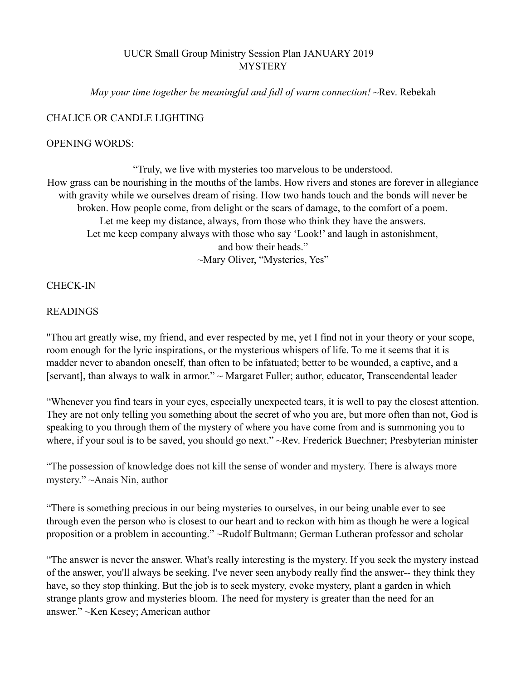## UUCR Small Group Ministry Session Plan JANUARY 2019 **MYSTERY**

*May your time together be meaningful and full of warm connection!* ~Rev. Rebekah

### CHALICE OR CANDLE LIGHTING

#### OPENING WORDS:

"Truly, we live with mysteries too marvelous to be understood. How grass can be nourishing in the mouths of the lambs. How rivers and stones are forever in allegiance with gravity while we ourselves dream of rising. How two hands touch and the bonds will never be broken. How people come, from delight or the scars of damage, to the comfort of a poem. Let me keep my distance, always, from those who think they have the answers. Let me keep company always with those who say 'Look!' and laugh in astonishment, and bow their heads." ~Mary Oliver, "Mysteries, Yes"

CHECK-IN

#### READINGS

"Thou art greatly wise, my friend, and ever respected by me, yet I find not in your theory or your scope, room enough for the lyric inspirations, or the mysterious whispers of life. To me it seems that it is madder never to abandon oneself, than often to be infatuated; better to be wounded, a captive, and a [servant], than always to walk in armor." ~ Margaret Fuller; author, educator, Transcendental leader

"Whenever you find tears in your eyes, especially unexpected tears, it is well to pay the closest attention. They are not only telling you something about the secret of who you are, but more often than not, God is speaking to you through them of the mystery of where you have come from and is summoning you to where, if your soul is to be saved, you should go next." ~Rev. Frederick Buechner; Presbyterian minister

"The possession of knowledge does not kill the sense of wonder and mystery. There is always more mystery." ~Anais Nin, author

"There is something precious in our being mysteries to ourselves, in our being unable ever to see through even the person who is closest to our heart and to reckon with him as though he were a logical proposition or a problem in accounting." ~Rudolf Bultmann; German Lutheran professor and scholar

"The answer is never the answer. What's really interesting is the mystery. If you seek the mystery instead of the answer, you'll always be seeking. I've never seen anybody really find the answer-- they think they have, so they stop thinking. But the job is to seek mystery, evoke mystery, plant a garden in which strange plants grow and mysteries bloom. The need for mystery is greater than the need for an answer." ~Ken Kesey; American author